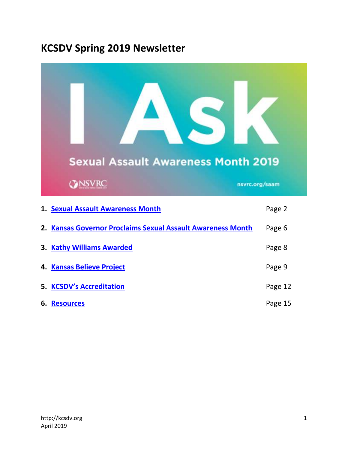# **KCSDV Spring 2019 Newsletter**

|    | <b>Sexual Assault Awareness Month 2019</b><br><b>ONSVRC</b> | nsvrc.org/saam |  |
|----|-------------------------------------------------------------|----------------|--|
|    | 1. Sexual Assault Awareness Month                           | Page 2         |  |
|    | 2. Kansas Governor Proclaims Sexual Assault Awareness Month | Page 6         |  |
|    | 3. Kathy Williams Awarded                                   | Page 8         |  |
|    | 4. Kansas Believe Project                                   | Page 9         |  |
|    | 5. KCSDV's Accreditation                                    | Page 12        |  |
| 6. | <b>Resources</b>                                            | Page 15        |  |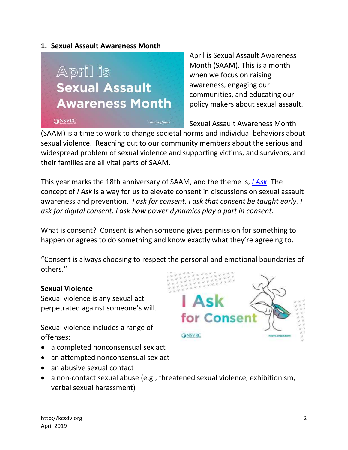#### <span id="page-1-0"></span>**1. Sexual Assault Awareness Month**



April is Sexual Assault Awareness Month (SAAM). This is a month when we focus on raising awareness, engaging our communities, and educating our policy makers about sexual assault.

Sexual Assault Awareness Month

(SAAM) is a time to work to change societal norms and individual behaviors about sexual violence. Reaching out to our community members about the serious and widespread problem of sexual violence and supporting victims, and survivors, and their families are all vital parts of SAAM.

This year marks the 18th anniversary of SAAM, and the theme is, *[I Ask](https://www.nsvrc.org/saam)*. The concept of *I Ask* is a way for us to elevate consent in discussions on sexual assault awareness and prevention. *I ask for consent. I ask that consent be taught early. I ask for digital consent. I ask how power dynamics play a part in consent.*

What is consent? Consent is when someone gives permission for something to happen or agrees to do something and know exactly what they're agreeing to.

"Consent is always choosing to respect the personal and emotional boundaries of others."

#### **Sexual Violence**

Sexual violence is any sexual act perpetrated against someone's will.

Sexual violence includes a range of offenses:

- a completed nonconsensual sex act
- an attempted nonconsensual sex act
- an abusive sexual contact
- for Conse **CONSVRC** navrc.org/saa
- a non-contact sexual abuse (e.g., threatened sexual violence, exhibitionism, verbal sexual harassment)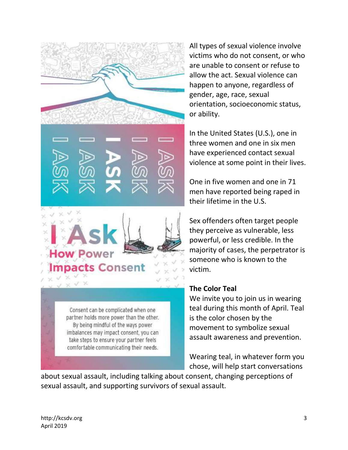

All types of sexual violence involve victims who do not consent, or who are unable to consent or refuse to allow the act. Sexual violence can happen to anyone, regardless of gender, age, race, sexual orientation, socioeconomic status, or ability.

In the United States (U.S.), one in three women and one in six men have experienced contact sexual violence at some point in their lives.

One in five women and one in 71 men have reported being raped in their lifetime in the U.S.

Sex offenders often target people they perceive as vulnerable, less powerful, or less credible. In the majority of cases, the perpetrator is someone who is known to the victim.

#### **The Color Teal**

We invite you to join us in wearing teal during this month of April. Teal is the color chosen by the movement to symbolize sexual assault awareness and prevention.

Wearing teal, in whatever form you chose, will help start conversations

about sexual assault, including talking about consent, changing perceptions of sexual assault, and supporting survivors of sexual assault.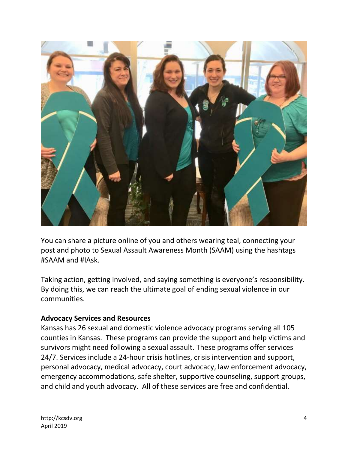

You can share a picture online of you and others wearing teal, connecting your post and photo to Sexual Assault Awareness Month (SAAM) using the hashtags #SAAM and #IAsk.

Taking action, getting involved, and saying something is everyone's responsibility. By doing this, we can reach the ultimate goal of ending sexual violence in our communities.

#### **Advocacy Services and Resources**

Kansas has 26 sexual and domestic violence advocacy programs serving all 105 counties in Kansas. These programs can provide the support and help victims and survivors might need following a sexual assault. These programs offer services 24/7. Services include a 24-hour crisis hotlines, crisis intervention and support, personal advocacy, medical advocacy, court advocacy, law enforcement advocacy, emergency accommodations, safe shelter, supportive counseling, support groups, and child and youth advocacy. All of these services are free and confidential.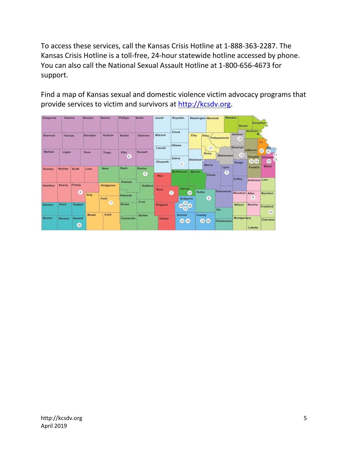To access these services, call the Kansas Crisis Hotline at 1-888-363-2287. The Kansas Crisis Hotline is a toll-free, 24-hour statewide hotline accessed by phone. You can also call the National Sexual Assault Hotline at 1-800-656-4673 for support.

Find a map of Kansas sexual and domestic violence victim advocacy programs that provide services to victim and survivors at [http://kcsdv.org.](http://kcsdv.org/)

| Cheyenne        | <b>Rawlins</b> |                            | Decatur | Norton         | <b>Phillips</b> | Smith.          | Jewell        | Republic                |                     | <b>Washington Marshall</b> | Nemaha             | <b>Brown</b>      | Doniphan                       |                                          |                |
|-----------------|----------------|----------------------------|---------|----------------|-----------------|-----------------|---------------|-------------------------|---------------------|----------------------------|--------------------|-------------------|--------------------------------|------------------------------------------|----------------|
| Sherman         | <b>Thomas</b>  | Sheridan                   |         | Graham         | <b>Rooks</b>    | Osborne         | Mitchell      | Cloud                   | Clay                | Riley                      | Pottawatomie       | Jackson<br>18     | <b>Atchison</b><br>÷           | Lv                                       |                |
| <b>Wallace</b>  | Logan          |                            | Gove    | Trego          | <b>Ellis</b>    | <b>Russell</b>  | Lincoln       | Ottawa                  |                     | 17<br>Geary                |                    | Shawnee           | Jefferson                      | Wy<br>15<br>$\overline{9}$               |                |
|                 |                |                            |         |                | 6               |                 | Ellsworth     | Saline                  | <b>Dickinson</b>    |                            | Wabaunsee          | 22<br>Osage       | <b>Douglas</b><br><b>EB</b> 14 | <b>Johnson</b><br>$\left(1\right)$<br>10 |                |
| Greeley         | Wichita        | <b>Scott</b>               | Lane    | <b>Ness</b>    | Rush            | <b>Barton</b>   |               | 21<br><b>McPherson</b>  | <b>Marion</b>       | <b>Morris</b>              | Lyon<br>$\sqrt{3}$ |                   | Franklin                       | Miami                                    |                |
|                 |                |                            |         |                | Pawnee          | $\sqrt{5}$      | Rice          |                         |                     | <b>Chase</b>               |                    | Coffey            | Anderson                       | Linn                                     |                |
| <b>Hamilton</b> | Kearny         | Finney<br>$\boldsymbol{A}$ |         | Hodgeman       |                 | <b>Stafford</b> | Reno          | <b>Harvey</b><br>$\tau$ | <b>Butler</b><br>19 |                            | Greenwood          | Woodson Allen     |                                | <b>Bourbon</b>                           |                |
|                 |                |                            | Gray    | Ford           | Edwards         | Pratt           |               | Sedgwick                |                     | $\mathbf{z}$               |                    |                   | 8                              |                                          |                |
| <b>Stanton</b>  | Grant          | Haskell                    |         | $\blacksquare$ | Kiowa           |                 |               | Kingman                 | 25<br>(24)<br>23    | (26)                       |                    | Elk               | Wilson                         | Neosho                                   | Crawford<br>20 |
| Morton          | <b>Stevens</b> | Seward                     | Meade   | Clark          | Comanche        | Barber          | <b>Harper</b> | Sumner                  |                     | Cowley                     |                    | <b>Montgomery</b> |                                |                                          |                |
|                 |                | 46                         |         |                |                 |                 |               | 25 26                   |                     | 26<br>25                   | Chautaugua         | Labette           | Cherokee                       |                                          |                |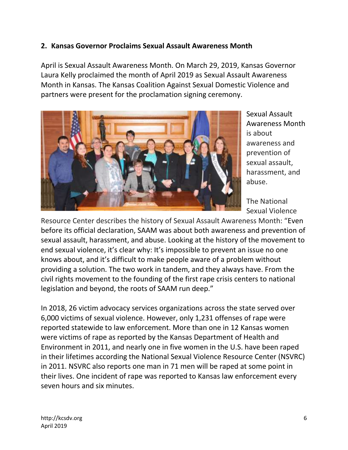## <span id="page-5-0"></span>**2. Kansas Governor Proclaims Sexual Assault Awareness Month**

April is Sexual Assault Awareness Month. On March 29, 2019, Kansas Governor Laura Kelly proclaimed the month of April 2019 as Sexual Assault Awareness Month in Kansas. The Kansas Coalition Against Sexual Domestic Violence and partners were present for the proclamation signing ceremony.



Sexual Assault Awareness Month is about awareness and prevention of sexual assault, harassment, and abuse.

The National Sexual Violence

Resource Center describes the history of Sexual Assault Awareness Month: "Even before its official declaration, SAAM was about both awareness and prevention of sexual assault, harassment, and abuse. Looking at the history of the movement to end sexual violence, it's clear why: It's impossible to prevent an issue no one knows about, and it's difficult to make people aware of a problem without providing a solution. The two work in tandem, and they always have. From the civil rights movement to the founding of the first rape crisis centers to national legislation and beyond, the roots of SAAM run deep."

In 2018, 26 victim advocacy services organizations across the state served over 6,000 victims of sexual violence. However, only 1,231 offenses of rape were reported statewide to law enforcement. More than one in 12 Kansas women were victims of rape as reported by the Kansas Department of Health and Environment in 2011, and nearly one in five women in the U.S. have been raped in their lifetimes according the National Sexual Violence Resource Center (NSVRC) in 2011. NSVRC also reports one man in 71 men will be raped at some point in their lives. One incident of rape was reported to Kansas law enforcement every seven hours and six minutes.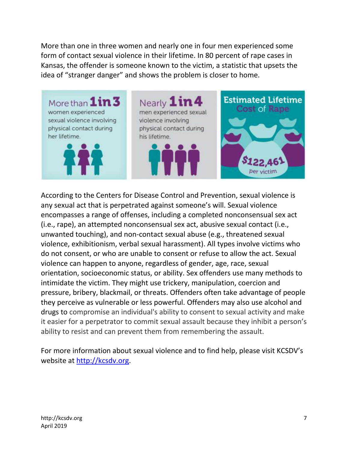More than one in three women and nearly one in four men experienced some form of contact sexual violence in their lifetime. In 80 percent of rape cases in Kansas, the offender is someone known to the victim, a statistic that upsets the idea of "stranger danger" and shows the problem is closer to home.



According to the Centers for Disease Control and Prevention, sexual violence is any sexual act that is perpetrated against someone's will. Sexual violence encompasses a range of offenses, including a completed nonconsensual sex act (i.e., rape), an attempted nonconsensual sex act, abusive sexual contact (i.e., unwanted touching), and non-contact sexual abuse (e.g., threatened sexual violence, exhibitionism, verbal sexual harassment). All types involve victims who do not consent, or who are unable to consent or refuse to allow the act. Sexual violence can happen to anyone, regardless of gender, age, race, sexual orientation, socioeconomic status, or ability. Sex offenders use many methods to intimidate the victim. They might use trickery, manipulation, coercion and pressure, bribery, blackmail, or threats. Offenders often take advantage of people they perceive as vulnerable or less powerful. Offenders may also use alcohol and drugs to compromise an individual's ability to consent to sexual activity and make it easier for a perpetrator to commit sexual assault because they inhibit a person's ability to resist and can prevent them from remembering the assault.

For more information about sexual violence and to find help, please visit KCSDV's website at [http://kcsdv.org.](http://kcsdv.org/)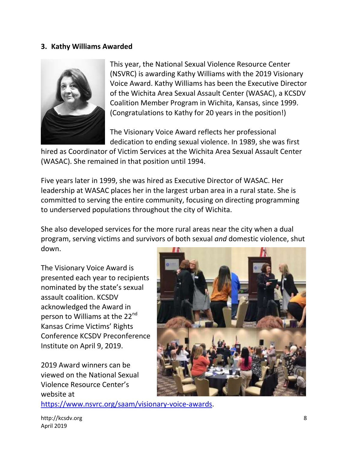#### **3. Kathy Williams Awarded**



This year, the National Sexual Violence Resource Center (NSVRC) is awarding Kathy Williams with the 2019 Visionary Voice Award. Kathy Williams has been the Executive Director of the Wichita Area Sexual Assault Center (WASAC), a KCSDV Coalition Member Program in Wichita, Kansas, since 1999. (Congratulations to Kathy for 20 years in the position!)

The Visionary Voice Award reflects her professional dedication to ending sexual violence. In 1989, she was first

hired as Coordinator of Victim Services at the Wichita Area Sexual Assault Center (WASAC). She remained in that position until 1994.

Five years later in 1999, she was hired as Executive Director of WASAC. Her leadership at WASAC places her in the largest urban area in a rural state. She is committed to serving the entire community, focusing on directing programming to underserved populations throughout the city of Wichita.

She also developed services for the more rural areas near the city when a dual program, serving victims and survivors of both sexual *and* domestic violence, shut down.

The Visionary Voice Award is presented each year to recipients nominated by the state's sexual assault coalition. KCSDV acknowledged the Award in person to Williams at the 22<sup>nd</sup> Kansas Crime Victims' Rights Conference KCSDV Preconference Institute on April 9, 2019.

2019 Award winners can be viewed on the National Sexual Violence Resource Center's website at



[https://www.nsvrc.org/saam/visionary-voice-awards.](https://www.nsvrc.org/saam/visionary-voice-awards)

[http://kcsdv.org](http://kcsdv.org/) 8 April 2019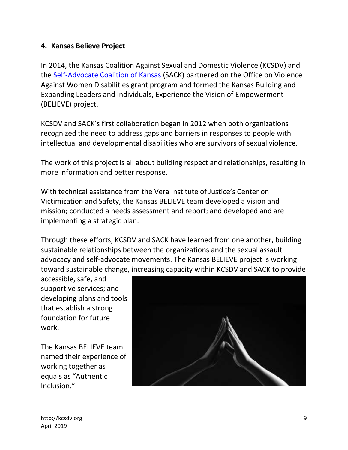## <span id="page-8-0"></span>**4. Kansas Believe Project**

In 2014, the Kansas Coalition Against Sexual and Domestic Violence (KCSDV) and the [Self-Advocate Coalition of Kansas](http://www.sackonline.org/) (SACK) partnered on the Office on Violence Against Women Disabilities grant program and formed the Kansas Building and Expanding Leaders and Individuals, Experience the Vision of Empowerment (BELIEVE) project.

KCSDV and SACK's first collaboration began in 2012 when both organizations recognized the need to address gaps and barriers in responses to people with intellectual and developmental disabilities who are survivors of sexual violence.

The work of this project is all about building respect and relationships, resulting in more information and better response.

With technical assistance from the Vera Institute of Justice's Center on Victimization and Safety, the Kansas BELIEVE team developed a vision and mission; conducted a needs assessment and report; and developed and are implementing a strategic plan.

Through these efforts, KCSDV and SACK have learned from one another, building sustainable relationships between the organizations and the sexual assault advocacy and self-advocate movements. The Kansas BELIEVE project is working toward sustainable change, increasing capacity within KCSDV and SACK to provide

accessible, safe, and supportive services; and developing plans and tools that establish a strong foundation for future work.

The Kansas BELIEVE team named their experience of working together as equals as "Authentic Inclusion."

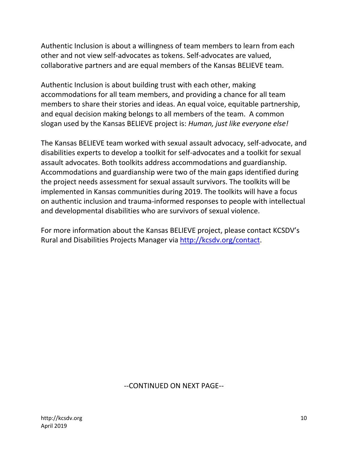Authentic Inclusion is about a willingness of team members to learn from each other and not view self-advocates as tokens. Self-advocates are valued, collaborative partners and are equal members of the Kansas BELIEVE team.

Authentic Inclusion is about building trust with each other, making accommodations for all team members, and providing a chance for all team members to share their stories and ideas. An equal voice, equitable partnership, and equal decision making belongs to all members of the team. A common slogan used by the Kansas BELIEVE project is: *Human, just like everyone else!*

The Kansas BELIEVE team worked with sexual assault advocacy, self-advocate, and disabilities experts to develop a toolkit for self-advocates and a toolkit for sexual assault advocates. Both toolkits address accommodations and guardianship. Accommodations and guardianship were two of the main gaps identified during the project needs assessment for sexual assault survivors. The toolkits will be implemented in Kansas communities during 2019. The toolkits will have a focus on authentic inclusion and trauma-informed responses to people with intellectual and developmental disabilities who are survivors of sexual violence.

For more information about the Kansas BELIEVE project, please contact KCSDV's Rural and Disabilities Projects Manager via [http://kcsdv.org/contact.](http://kcsdv.org/contact)

#### --CONTINUED ON NEXT PAGE--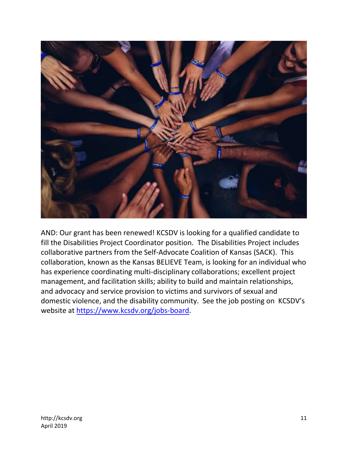

AND: Our grant has been renewed! KCSDV is looking for a qualified candidate to fill the Disabilities Project Coordinator position. The Disabilities Project includes collaborative partners from the Self-Advocate Coalition of Kansas (SACK). This collaboration, known as the Kansas BELIEVE Team, is looking for an individual who has experience coordinating multi-disciplinary collaborations; excellent project management, and facilitation skills; ability to build and maintain relationships, and advocacy and service provision to victims and survivors of sexual and domestic violence, and the disability community. See the job posting on KCSDV's website at [https://www.kcsdv.org/jobs-board.](https://www.kcsdv.org/jobs-board)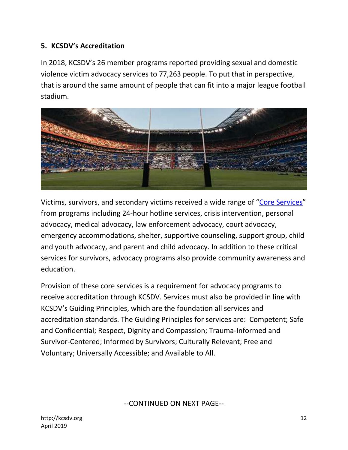## <span id="page-11-0"></span>**5. KCSDV's Accreditation**

In 2018, KCSDV's 26 member programs reported providing sexual and domestic violence victim advocacy services to 77,263 people. To put that in perspective, that is around the same amount of people that can fit into a major league football stadium.



Victims, survivors, and secondary victims received a wide range of "[Core Services](https://www.kcsdv.org/what-we-do/accreditation/)" from programs including 24-hour hotline services, crisis intervention, personal advocacy, medical advocacy, law enforcement advocacy, court advocacy, emergency accommodations, shelter, supportive counseling, support group, child and youth advocacy, and parent and child advocacy. In addition to these critical services for survivors, advocacy programs also provide community awareness and education.

Provision of these core services is a requirement for advocacy programs to receive accreditation through KCSDV. Services must also be provided in line with KCSDV's Guiding Principles, which are the foundation all services and accreditation standards. The Guiding Principles for services are: Competent; Safe and Confidential; Respect, Dignity and Compassion; Trauma-Informed and Survivor-Centered; Informed by Survivors; Culturally Relevant; Free and Voluntary; Universally Accessible; and Available to All.

--CONTINUED ON NEXT PAGE--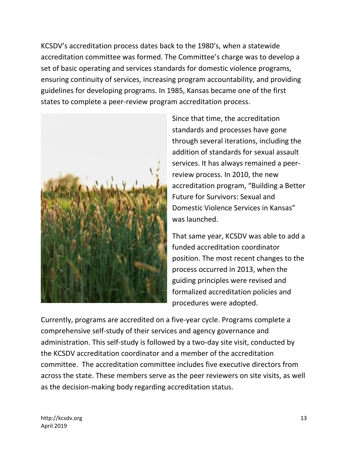KCSDV's accreditation process dates back to the 1980's, when a statewide accreditation committee was formed. The Committee's charge was to develop a set of basic operating and services standards for domestic violence programs, ensuring continuity of services, increasing program accountability, and providing guidelines for developing programs. In 1985, Kansas became one of the first states to complete a peer-review program accreditation process.



Since that time, the accreditation standards and processes have gone through several iterations, including the addition of standards for sexual assault services. It has always remained a peerreview process. In 2010, the new accreditation program, "Building a Better Future for Survivors: Sexual and Domestic Violence Services in Kansas" was launched.

That same year, KCSDV was able to add a funded accreditation coordinator position. The most recent changes to the process occurred in 2013, when the guiding principles were revised and formalized accreditation policies and procedures were adopted.

Currently, programs are accredited on a five-year cycle. Programs complete a comprehensive self-study of their services and agency governance and administration. This self-study is followed by a two-day site visit, conducted by the KCSDV accreditation coordinator and a member of the accreditation committee. The accreditation committee includes five executive directors from across the state. These members serve as the peer reviewers on site visits, as well as the decision-making body regarding accreditation status.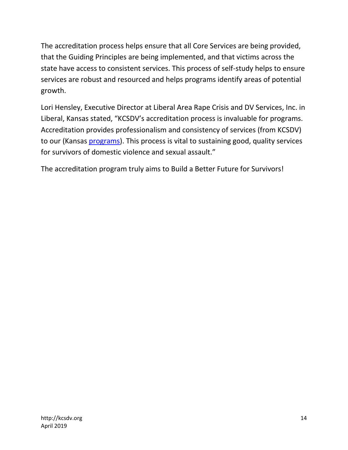The accreditation process helps ensure that all Core Services are being provided, that the Guiding Principles are being implemented, and that victims across the state have access to consistent services. This process of self-study helps to ensure services are robust and resourced and helps programs identify areas of potential growth.

Lori Hensley, Executive Director at Liberal Area Rape Crisis and DV Services, Inc. in Liberal, Kansas stated, "KCSDV's accreditation process is invaluable for programs. Accreditation provides professionalism and consistency of services (from KCSDV) to our (Kansas [programs\)](https://www.kcsdv.org/find-help/in-kansas/dv-sa-services-map/). This process is vital to sustaining good, quality services for survivors of domestic violence and sexual assault."

The accreditation program truly aims to Build a Better Future for Survivors!